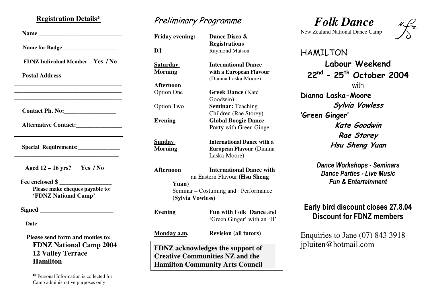### **Registration Details\***

| Name for Badge                                          |
|---------------------------------------------------------|
| <b>FDNZ Individual Member</b> Yes / No                  |
| <b>Postal Address</b>                                   |
|                                                         |
| <b>Contact Ph. No:</b> 2008. 2010.                      |
| Alternative Contact:_______________                     |
| Special Requirements:________________                   |
| Aged $12 - 16$ yrs? Yes / No                            |
| Fee enclosed \$                                         |
| Please make cheques payable to:<br>'FDNZ National Camp' |
|                                                         |
|                                                         |
| <b>Please send form and monies to:</b>                  |

**FDNZ National Camp 2004 12 Valley Terrace Hamilton**

**\*** Personal Information is collected for Camp administrative purposes only

# Preliminary Programme

**Friday evening: Dance Disco & DJ** Raymond Matson

**Afternoon**

**Registrations**

**Saturday International Dance Morning with <sup>a</sup> European Flavour** (Dianna Laska-Moore)

Option One **Greek Dance** (Kate Goodwin) Option Two **Seminar:** Teaching Children (Rae Storey) **Evening Global Boogie Dance Party** with Green Ginger

**Sunday International Dance with <sup>a</sup> Morning European Flavour** (Dianna Laska-Moore)

**Afternoon International Dance with** an Eastern Flavour **(Hsu Sheng Yuan)** Seminar – Costuming and Performance **(Sylvia Vowless)**

**Evening Fun with Folk Dance** and 'Green Ginger' with an 'H'

**Monday a.m. Revision (all tutors) FDNZ acknowledges the support of Creative Communities NZ and the Hamilton Community Arts Council**

*Folk Dance*

New Zealand National Dance Camp



**HAMILTON** Labour Weekend 22<sup>nd</sup> - 25<sup>th</sup> October 2004 with Dianna Laska-Moore Sylvia Vowless 'Green Ginger' Kate Goodwin Rae Storey Hsu Sheng Yuan

> Dance Workshops - Seminars Dance Parties - Live Music Fun & Entertainment

# Early bird discount closes 27.8.04 **Discount for FDNZ members**

Enquiries to Jane (07) 843 3918 jpluiten@hotmail.com